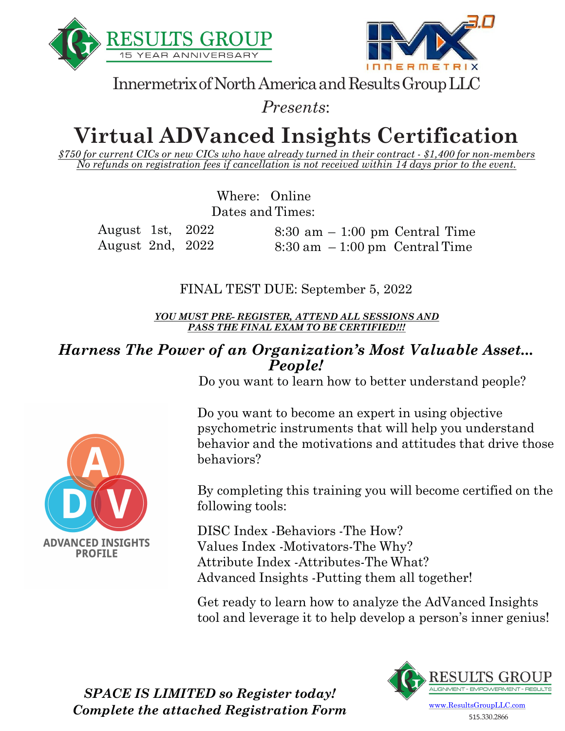



Innermetrix of North America and Results Group LLC

*Presents*:

# **Virtual ADVanced Insights Certification**

*\$750 for current CICs or new CICs who have already turned in their contract - \$1,400 for non-members No refunds on registration fees if cancellation is not received within 14 days prior to the event.*

> Where: Online Dates and Times:

August 1st, 2022 August 2nd, 2022 8:30 am – 1:00 pm Central Time  $8:30$  am  $-1:00$  pm Central Time

FINAL TEST DUE: September 5, 2022

*YOU MUST PRE- REGISTER, ATTEND ALL SESSIONS AND PASS THE FINAL EXAM TO BE CERTIFIED!!!*

#### *Harness The Power of an Organization's Most Valuable Asset... People!*

Do you want to learn how to better understand people?

Do you want to become an expert in using objective psychometric instruments that will help you understand behavior and the motivations and attitudes that drive those behaviors?

By completing this training you will become certified on the following tools:

DISC Index -Behaviors -The How? Values Index -Motivators-The Why? Attribute Index -Attributes-The What? Advanced Insights -Putting them all together!

Get ready to learn how to analyze the AdVanced Insights tool and leverage it to help develop a person's inner genius!



515.330.2866

**ADVANCED INSIGHTS PROFILE** 

> *SPACE IS LIMITED so Register today! Complete the attached Registration Form*